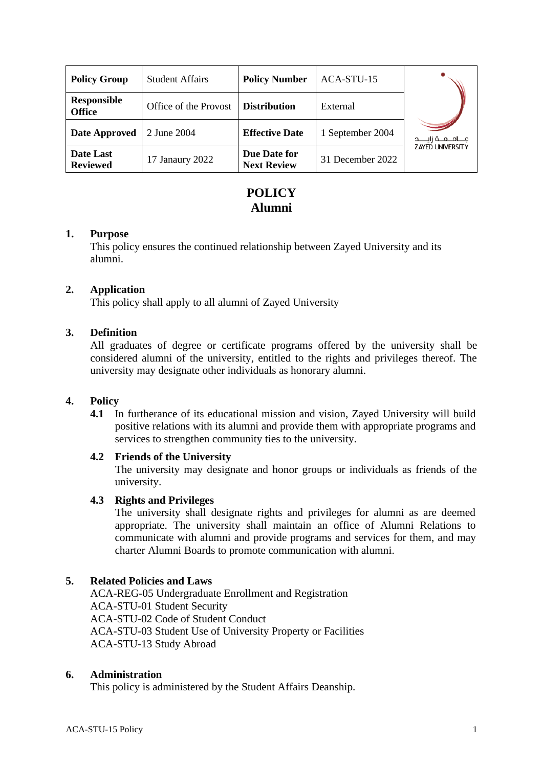| <b>Policy Group</b>                 | <b>Student Affairs</b> | <b>Policy Number</b>               | ACA-STU-15       |                             |
|-------------------------------------|------------------------|------------------------------------|------------------|-----------------------------|
| <b>Responsible</b><br><b>Office</b> | Office of the Provost  | <b>Distribution</b>                | External         |                             |
| Date Approved                       | 2 June 2004            | <b>Effective Date</b>              | 1 September 2004 | جــــامــــعــــة زايـــــد |
| Date Last<br><b>Reviewed</b>        | 17 Janaury 2022        | Due Date for<br><b>Next Review</b> | 31 December 2022 | <b>ZAYED UNIVERSITY</b>     |

# **POLICY Alumni**

#### **1. Purpose**

This policy ensures the continued relationship between Zayed University and its alumni.

## **2. Application**

This policy shall apply to all alumni of Zayed University

## **3. Definition**

All graduates of degree or certificate programs offered by the university shall be considered alumni of the university, entitled to the rights and privileges thereof. The university may designate other individuals as honorary alumni.

#### **4. Policy**

**4.1** In furtherance of its educational mission and vision, Zayed University will build positive relations with its alumni and provide them with appropriate programs and services to strengthen community ties to the university.

#### **4.2 Friends of the University**

The university may designate and honor groups or individuals as friends of the university.

#### **4.3 Rights and Privileges**

The university shall designate rights and privileges for alumni as are deemed appropriate. The university shall maintain an office of Alumni Relations to communicate with alumni and provide programs and services for them, and may charter Alumni Boards to promote communication with alumni.

## **5. Related Policies and Laws**

ACA-REG-05 Undergraduate Enrollment and Registration ACA-STU-01 Student Security ACA-STU-02 Code of Student Conduct ACA-STU-03 Student Use of University Property or Facilities ACA-STU-13 Study Abroad

#### **6. Administration**

This policy is administered by the Student Affairs Deanship.